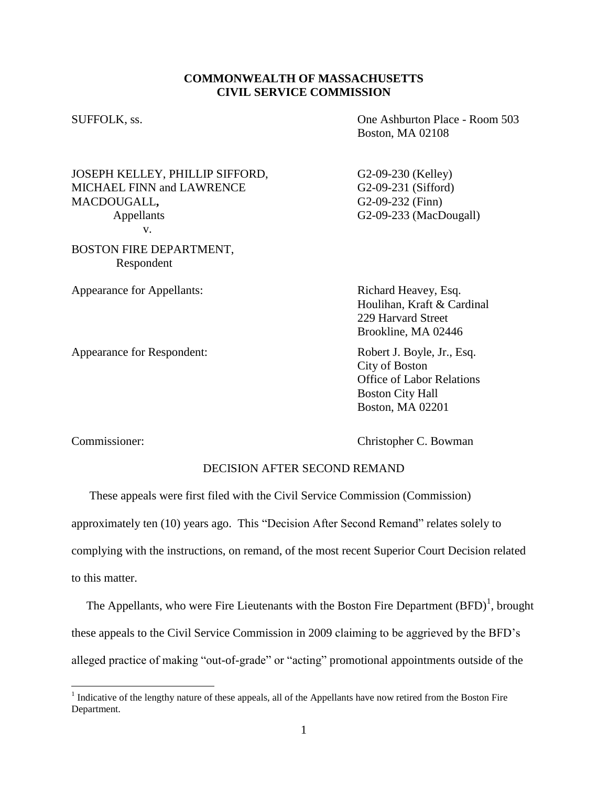## **COMMONWEALTH OF MASSACHUSETTS CIVIL SERVICE COMMISSION**

SUFFOLK, ss. One Ashburton Place - Room 503 Boston, MA 02108

JOSEPH KELLEY, PHILLIP SIFFORD, G2-09-230 (Kelley) MICHAEL FINN and LAWRENCE G2-09-231 (Sifford) MACDOUGALL, G2-09-232 (Finn) Appellants G2-09-233 (MacDougall) v.

BOSTON FIRE DEPARTMENT, Respondent

Appearance for Appellants: Richard Heavey, Esq.

Appearance for Respondent: Robert J. Boyle, Jr., Esq.

Houlihan, Kraft & Cardinal 229 Harvard Street Brookline, MA 02446

City of Boston Office of Labor Relations Boston City Hall Boston, MA 02201

 $\overline{a}$ 

Commissioner: Christopher C. Bowman

## DECISION AFTER SECOND REMAND

These appeals were first filed with the Civil Service Commission (Commission) approximately ten (10) years ago. This "Decision After Second Remand" relates solely to complying with the instructions, on remand, of the most recent Superior Court Decision related to this matter.

The Appellants, who were Fire Lieutenants with the Boston Fire Department  $(BFD)^1$ , brought these appeals to the Civil Service Commission in 2009 claiming to be aggrieved by the BFD's alleged practice of making "out-of-grade" or "acting" promotional appointments outside of the

 $<sup>1</sup>$  Indicative of the lengthy nature of these appeals, all of the Appellants have now retired from the Boston Fire</sup> Department.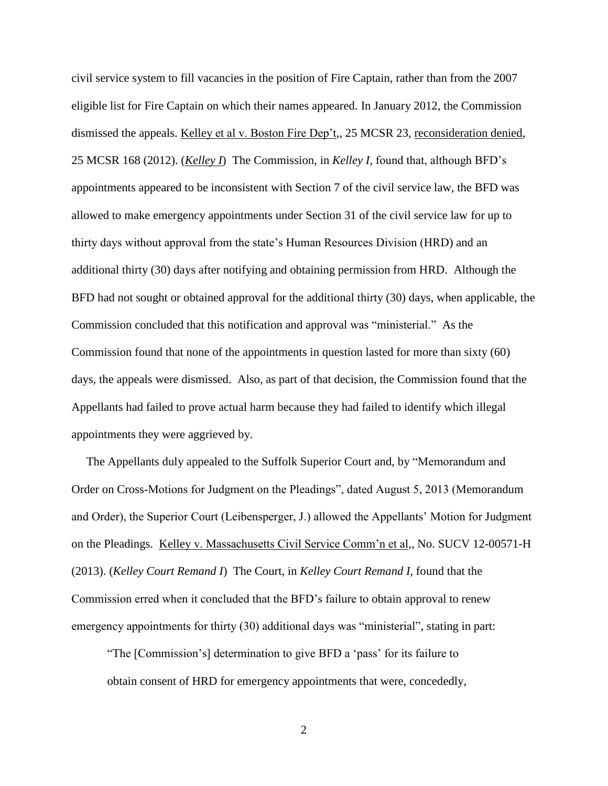civil service system to fill vacancies in the position of Fire Captain, rather than from the 2007 eligible list for Fire Captain on which their names appeared. In January 2012, the Commission dismissed the appeals. Kelley et al v. Boston Fire Dep't,, 25 MCSR 23, reconsideration denied, 25 MCSR 168 (2012). (*Kelley I*) The Commission, in *Kelley I,* found that, although BFD's appointments appeared to be inconsistent with Section 7 of the civil service law, the BFD was allowed to make emergency appointments under Section 31 of the civil service law for up to thirty days without approval from the state's Human Resources Division (HRD) and an additional thirty (30) days after notifying and obtaining permission from HRD. Although the BFD had not sought or obtained approval for the additional thirty (30) days, when applicable, the Commission concluded that this notification and approval was "ministerial." As the Commission found that none of the appointments in question lasted for more than sixty (60) days, the appeals were dismissed. Also, as part of that decision, the Commission found that the Appellants had failed to prove actual harm because they had failed to identify which illegal appointments they were aggrieved by.

 The Appellants duly appealed to the Suffolk Superior Court and, by "Memorandum and Order on Cross-Motions for Judgment on the Pleadings", dated August 5, 2013 (Memorandum and Order), the Superior Court (Leibensperger, J.) allowed the Appellants' Motion for Judgment on the Pleadings. Kelley v. Massachusetts Civil Service Comm'n et al,, No. SUCV 12-00571-H (2013). (*Kelley Court Remand I*) The Court, in *Kelley Court Remand I*, found that the Commission erred when it concluded that the BFD's failure to obtain approval to renew emergency appointments for thirty (30) additional days was "ministerial", stating in part:

"The [Commission's] determination to give BFD a 'pass' for its failure to obtain consent of HRD for emergency appointments that were, concededly,

2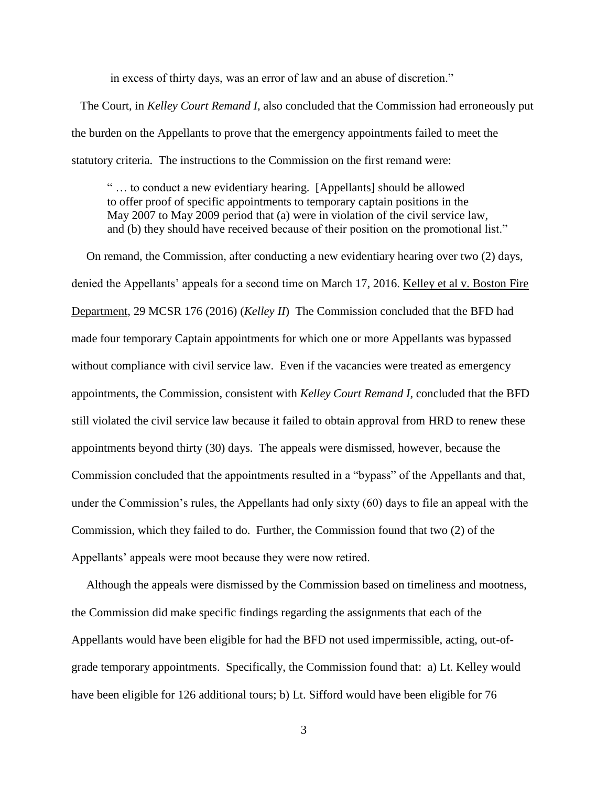in excess of thirty days, was an error of law and an abuse of discretion."

 The Court, in *Kelley Court Remand I*, also concluded that the Commission had erroneously put the burden on the Appellants to prove that the emergency appointments failed to meet the statutory criteria. The instructions to the Commission on the first remand were:

" … to conduct a new evidentiary hearing. [Appellants] should be allowed to offer proof of specific appointments to temporary captain positions in the May 2007 to May 2009 period that (a) were in violation of the civil service law, and (b) they should have received because of their position on the promotional list."

 On remand, the Commission, after conducting a new evidentiary hearing over two (2) days, denied the Appellants' appeals for a second time on March 17, 2016. Kelley et al v. Boston Fire Department, 29 MCSR 176 (2016) (*Kelley II*) The Commission concluded that the BFD had made four temporary Captain appointments for which one or more Appellants was bypassed without compliance with civil service law. Even if the vacancies were treated as emergency appointments, the Commission, consistent with *Kelley Court Remand I*, concluded that the BFD still violated the civil service law because it failed to obtain approval from HRD to renew these appointments beyond thirty (30) days. The appeals were dismissed, however, because the Commission concluded that the appointments resulted in a "bypass" of the Appellants and that, under the Commission's rules, the Appellants had only sixty (60) days to file an appeal with the Commission, which they failed to do. Further, the Commission found that two (2) of the Appellants' appeals were moot because they were now retired.

 Although the appeals were dismissed by the Commission based on timeliness and mootness, the Commission did make specific findings regarding the assignments that each of the Appellants would have been eligible for had the BFD not used impermissible, acting, out-ofgrade temporary appointments. Specifically, the Commission found that: a) Lt. Kelley would have been eligible for 126 additional tours; b) Lt. Sifford would have been eligible for 76

3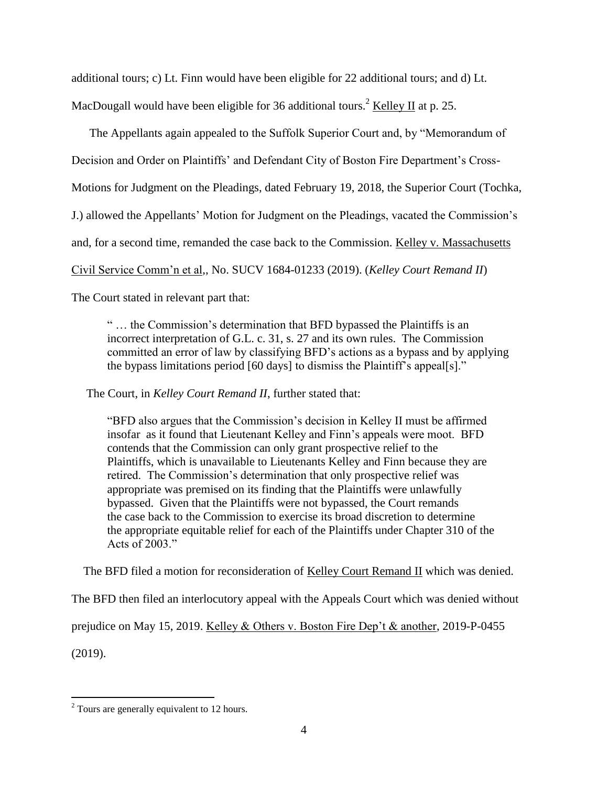additional tours; c) Lt. Finn would have been eligible for 22 additional tours; and d) Lt. MacDougall would have been eligible for 36 additional tours.<sup>2</sup> Kelley II at p. 25.

 The Appellants again appealed to the Suffolk Superior Court and, by "Memorandum of Decision and Order on Plaintiffs' and Defendant City of Boston Fire Department's Cross-Motions for Judgment on the Pleadings, dated February 19, 2018, the Superior Court (Tochka, J.) allowed the Appellants' Motion for Judgment on the Pleadings, vacated the Commission's and, for a second time, remanded the case back to the Commission. Kelley v. Massachusetts Civil Service Comm'n et al,, No. SUCV 1684-01233 (2019). (*Kelley Court Remand II*)

The Court stated in relevant part that:

" … the Commission's determination that BFD bypassed the Plaintiffs is an incorrect interpretation of G.L. c. 31, s. 27 and its own rules. The Commission committed an error of law by classifying BFD's actions as a bypass and by applying the bypass limitations period [60 days] to dismiss the Plaintiff's appeal[s]."

The Court, in *Kelley Court Remand II*, further stated that:

"BFD also argues that the Commission's decision in Kelley II must be affirmed insofar as it found that Lieutenant Kelley and Finn's appeals were moot. BFD contends that the Commission can only grant prospective relief to the Plaintiffs, which is unavailable to Lieutenants Kelley and Finn because they are retired. The Commission's determination that only prospective relief was appropriate was premised on its finding that the Plaintiffs were unlawfully bypassed. Given that the Plaintiffs were not bypassed, the Court remands the case back to the Commission to exercise its broad discretion to determine the appropriate equitable relief for each of the Plaintiffs under Chapter 310 of the Acts of 2003."

The BFD filed a motion for reconsideration of Kelley Court Remand II which was denied.

The BFD then filed an interlocutory appeal with the Appeals Court which was denied without

prejudice on May 15, 2019. Kelley & Others v. Boston Fire Dep't & another, 2019-P-0455 (2019).

 $\overline{a}$ 

<sup>&</sup>lt;sup>2</sup> Tours are generally equivalent to 12 hours.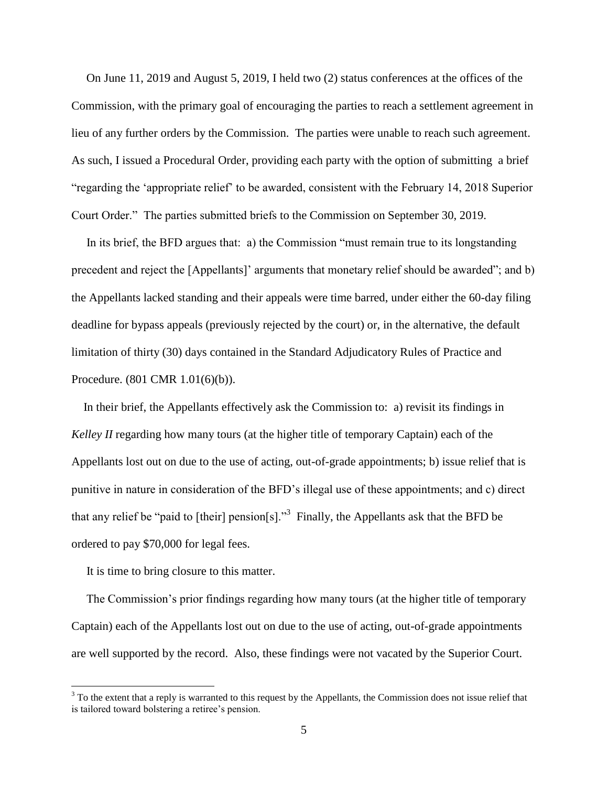On June 11, 2019 and August 5, 2019, I held two (2) status conferences at the offices of the Commission, with the primary goal of encouraging the parties to reach a settlement agreement in lieu of any further orders by the Commission. The parties were unable to reach such agreement. As such, I issued a Procedural Order, providing each party with the option of submitting a brief "regarding the 'appropriate relief' to be awarded, consistent with the February 14, 2018 Superior Court Order." The parties submitted briefs to the Commission on September 30, 2019.

 In its brief, the BFD argues that: a) the Commission "must remain true to its longstanding precedent and reject the [Appellants]' arguments that monetary relief should be awarded"; and b) the Appellants lacked standing and their appeals were time barred, under either the 60-day filing deadline for bypass appeals (previously rejected by the court) or, in the alternative, the default limitation of thirty (30) days contained in the Standard Adjudicatory Rules of Practice and Procedure. (801 CMR 1.01(6)(b)).

 In their brief, the Appellants effectively ask the Commission to: a) revisit its findings in *Kelley II* regarding how many tours (at the higher title of temporary Captain) each of the Appellants lost out on due to the use of acting, out-of-grade appointments; b) issue relief that is punitive in nature in consideration of the BFD's illegal use of these appointments; and c) direct that any relief be "paid to [their] pension[s]."<sup>3</sup> Finally, the Appellants ask that the BFD be ordered to pay \$70,000 for legal fees.

It is time to bring closure to this matter.

 $\overline{a}$ 

 The Commission's prior findings regarding how many tours (at the higher title of temporary Captain) each of the Appellants lost out on due to the use of acting, out-of-grade appointments are well supported by the record. Also, these findings were not vacated by the Superior Court.

<sup>&</sup>lt;sup>3</sup> To the extent that a reply is warranted to this request by the Appellants, the Commission does not issue relief that is tailored toward bolstering a retiree's pension.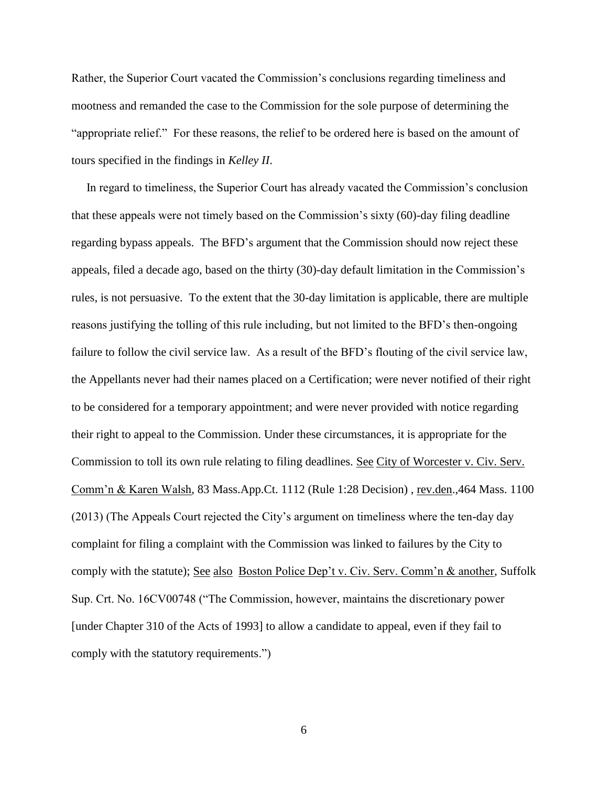Rather, the Superior Court vacated the Commission's conclusions regarding timeliness and mootness and remanded the case to the Commission for the sole purpose of determining the "appropriate relief." For these reasons, the relief to be ordered here is based on the amount of tours specified in the findings in *Kelley II*.

 In regard to timeliness, the Superior Court has already vacated the Commission's conclusion that these appeals were not timely based on the Commission's sixty (60)-day filing deadline regarding bypass appeals. The BFD's argument that the Commission should now reject these appeals, filed a decade ago, based on the thirty (30)-day default limitation in the Commission's rules, is not persuasive. To the extent that the 30-day limitation is applicable, there are multiple reasons justifying the tolling of this rule including, but not limited to the BFD's then-ongoing failure to follow the civil service law. As a result of the BFD's flouting of the civil service law, the Appellants never had their names placed on a Certification; were never notified of their right to be considered for a temporary appointment; and were never provided with notice regarding their right to appeal to the Commission. Under these circumstances, it is appropriate for the Commission to toll its own rule relating to filing deadlines. See City of Worcester v. Civ. Serv. Comm'n & Karen Walsh, 83 Mass.App.Ct. 1112 (Rule 1:28 Decision) , rev.den.,464 Mass. 1100 (2013) (The Appeals Court rejected the City's argument on timeliness where the ten-day day complaint for filing a complaint with the Commission was linked to failures by the City to comply with the statute); See also Boston Police Dep't v. Civ. Serv. Comm'n & another, Suffolk Sup. Crt. No. 16CV00748 ("The Commission, however, maintains the discretionary power [under Chapter 310 of the Acts of 1993] to allow a candidate to appeal, even if they fail to comply with the statutory requirements.")

6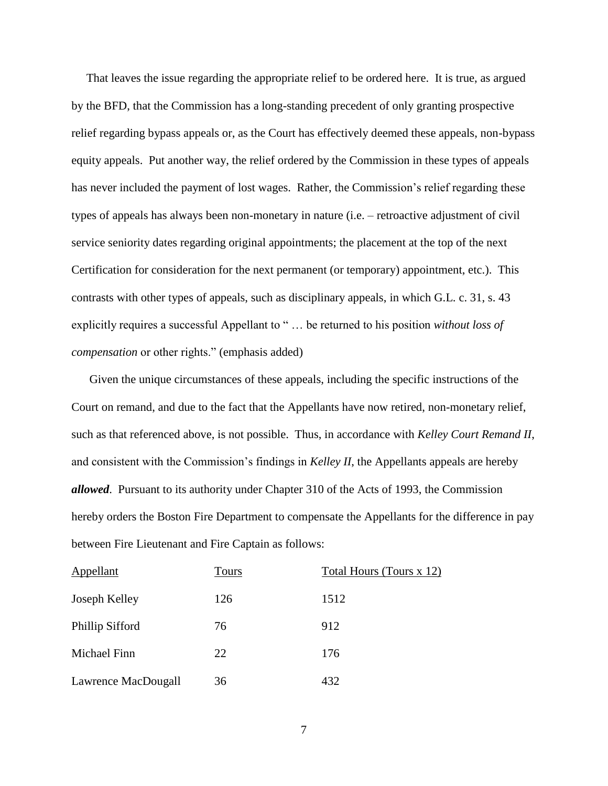That leaves the issue regarding the appropriate relief to be ordered here. It is true, as argued by the BFD, that the Commission has a long-standing precedent of only granting prospective relief regarding bypass appeals or, as the Court has effectively deemed these appeals, non-bypass equity appeals. Put another way, the relief ordered by the Commission in these types of appeals has never included the payment of lost wages. Rather, the Commission's relief regarding these types of appeals has always been non-monetary in nature (i.e. – retroactive adjustment of civil service seniority dates regarding original appointments; the placement at the top of the next Certification for consideration for the next permanent (or temporary) appointment, etc.). This contrasts with other types of appeals, such as disciplinary appeals, in which G.L. c. 31, s. 43 explicitly requires a successful Appellant to " … be returned to his position *without loss of compensation* or other rights." (emphasis added)

 Given the unique circumstances of these appeals, including the specific instructions of the Court on remand, and due to the fact that the Appellants have now retired, non-monetary relief, such as that referenced above, is not possible. Thus, in accordance with *Kelley Court Remand II*, and consistent with the Commission's findings in *Kelley II*, the Appellants appeals are hereby *allowed*. Pursuant to its authority under Chapter 310 of the Acts of 1993, the Commission hereby orders the Boston Fire Department to compensate the Appellants for the difference in pay between Fire Lieutenant and Fire Captain as follows:

| Appellant           | <b>Tours</b> | Total Hours (Tours x 12) |
|---------------------|--------------|--------------------------|
| Joseph Kelley       | 126          | 1512                     |
| Phillip Sifford     | 76           | 912                      |
| Michael Finn        | 22           | 176                      |
| Lawrence MacDougall | 36           | 432                      |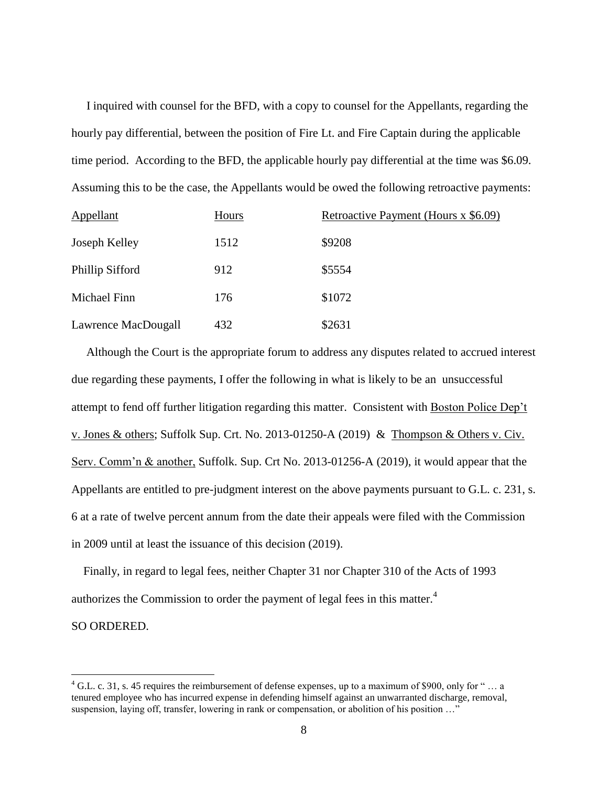I inquired with counsel for the BFD, with a copy to counsel for the Appellants, regarding the hourly pay differential, between the position of Fire Lt. and Fire Captain during the applicable time period. According to the BFD, the applicable hourly pay differential at the time was \$6.09. Assuming this to be the case, the Appellants would be owed the following retroactive payments:

| <b>Appellant</b>    | Hours | Retroactive Payment (Hours x \$6.09) |
|---------------------|-------|--------------------------------------|
| Joseph Kelley       | 1512  | \$9208                               |
| Phillip Sifford     | 912   | \$5554                               |
| Michael Finn        | 176   | \$1072                               |
| Lawrence MacDougall | 432   | \$2631                               |

 Although the Court is the appropriate forum to address any disputes related to accrued interest due regarding these payments, I offer the following in what is likely to be an unsuccessful attempt to fend off further litigation regarding this matter. Consistent with Boston Police Dep't v. Jones & others; Suffolk Sup. Crt. No. 2013-01250-A (2019) & Thompson & Others v. Civ. Serv. Comm'n & another, Suffolk. Sup. Crt No. 2013-01256-A (2019), it would appear that the Appellants are entitled to pre-judgment interest on the above payments pursuant to G.L. c. 231, s. 6 at a rate of twelve percent annum from the date their appeals were filed with the Commission in 2009 until at least the issuance of this decision (2019).

 Finally, in regard to legal fees, neither Chapter 31 nor Chapter 310 of the Acts of 1993 authorizes the Commission to order the payment of legal fees in this matter.<sup>4</sup> SO ORDERED.

 $\overline{a}$ 

 $4$  G.L. c. 31, s. 45 requires the reimbursement of defense expenses, up to a maximum of \$900, only for "... a tenured employee who has incurred expense in defending himself against an unwarranted discharge, removal, suspension, laying off, transfer, lowering in rank or compensation, or abolition of his position ..."